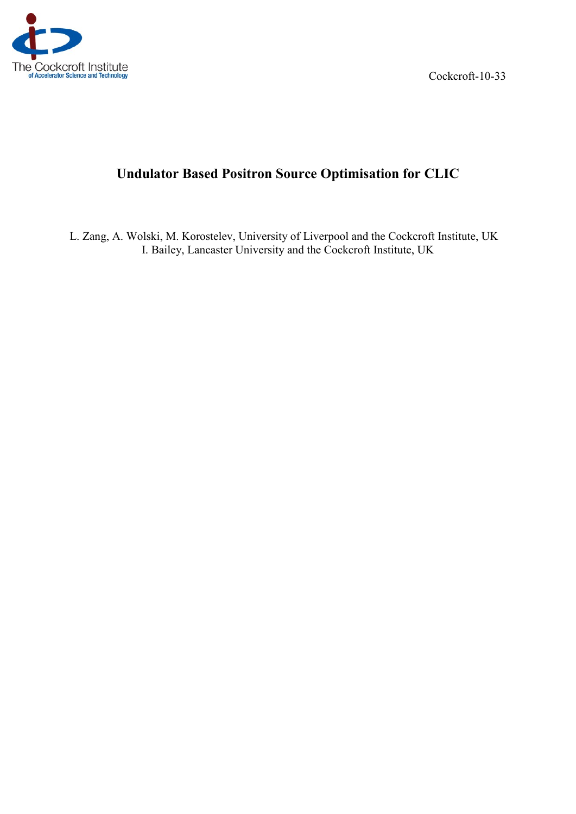

Cockcroft-10-33

# **Undulator Based Positron Source Optimisation for CLIC**

L. Zang, A. Wolski, M. Korostelev, University of Liverpool and the Cockcroft Institute, UK I. Bailey, Lancaster University and the Cockcroft Institute, UK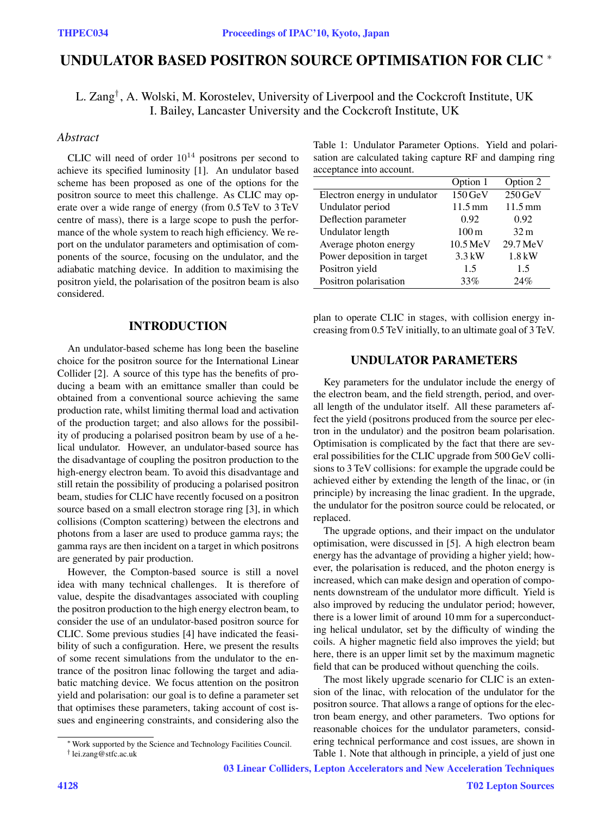## **UNDULATOR BASED POSITRON SOURCE OPTIMISATION FOR CLIC** <sup>∗</sup>

L. Zang*†* , A. Wolski, M. Korostelev, University of Liverpool and the Cockcroft Institute, UK I. Bailey, Lancaster University and the Cockcroft Institute, UK

### *Abstract*

CLIC will need of order  $10^{14}$  positrons per second to achieve its specified luminosity [1]. An undulator based scheme has been proposed as one of the options for the positron source to meet this challenge. As CLIC may operate over a wide range of energy (from 0.5 TeV to 3 TeV centre of mass), there is a large scope to push the performance of the whole system to reach high efficiency. We report on the undulator parameters and optimisation of components of the source, focusing on the undulator, and the adiabatic matching device. In addition to maximising the positron yield, the polarisation of the positron beam is also considered.

#### **INTRODUCTION**

An undulator-based scheme has long been the baseline choice for the positron source for the International Linear Collider [2]. A source of this type has the benefits of producing a beam with an emittance smaller than could be obtained from a conventional source achieving the same production rate, whilst limiting thermal load and activation of the production target; and also allows for the possibility of producing a polarised positron beam by use of a helical undulator. However, an undulator-based source has the disadvantage of coupling the positron production to the high-energy electron beam. To avoid this disadvantage and still retain the possibility of producing a polarised positron beam, studies for CLIC have recently focused on a positron source based on a small electron storage ring [3], in which collisions (Compton scattering) between the electrons and photons from a laser are used to produce gamma rays; the gamma rays are then incident on a target in which positrons are generated by pair production.

However, the Compton-based source is still a novel idea with many technical challenges. It is therefore of value, despite the disadvantages associated with coupling the positron production to the high energy electron beam, to consider the use of an undulator-based positron source for CLIC. Some previous studies [4] have indicated the feasibility of such a configuration. Here, we present the results of some recent simulations from the undulator to the entrance of the positron linac following the target and adiabatic matching device. We focus attention on the positron yield and polarisation: our goal is to define a parameter set that optimises these parameters, taking account of cost issues and engineering constraints, and considering also the

03 Linear Colliders, Lepton Accelerators and New Acceleration Techniques

Table 1: Undulator Parameter Options. Yield and polarisation are calculated taking capture RF and damping ring acceptance into account.

|                              | Option 1              | Option 2             |
|------------------------------|-----------------------|----------------------|
| Electron energy in undulator | 150 GeV               | $250 \,\mathrm{GeV}$ |
| Undulator period             | $11.5 \text{ mm}$     | $11.5 \,\mathrm{mm}$ |
| Deflection parameter         | 0.92                  | 0.92                 |
| Undulator length             | $100 \,\mathrm{m}$    | 32 <sub>m</sub>      |
| Average photon energy        | $10.5 \,\mathrm{MeV}$ | 29.7 MeV             |
| Power deposition in target   | $3.3$ kW              | $1.8$ kW             |
| Positron yield               | 1.5                   | 1.5                  |
| Positron polarisation        | 33%                   | 24%                  |

plan to operate CLIC in stages, with collision energy increasing from 0.5 TeV initially, to an ultimate goal of 3 TeV.

#### **UNDULATOR PARAMETERS**

Key parameters for the undulator include the energy of the electron beam, and the field strength, period, and overall length of the undulator itself. All these parameters affect the yield (positrons produced from the source per electron in the undulator) and the positron beam polarisation. Optimisation is complicated by the fact that there are several possibilities for the CLIC upgrade from 500 GeV collisions to 3 TeV collisions: for example the upgrade could be achieved either by extending the length of the linac, or (in principle) by increasing the linac gradient. In the upgrade, the undulator for the positron source could be relocated, or replaced.

The upgrade options, and their impact on the undulator optimisation, were discussed in [5]. A high electron beam energy has the advantage of providing a higher yield; however, the polarisation is reduced, and the photon energy is increased, which can make design and operation of components downstream of the undulator more difficult. Yield is also improved by reducing the undulator period; however, there is a lower limit of around 10 mm for a superconducting helical undulator, set by the difficulty of winding the coils. A higher magnetic field also improves the yield; but here, there is an upper limit set by the maximum magnetic field that can be produced without quenching the coils.

The most likely upgrade scenario for CLIC is an extension of the linac, with relocation of the undulator for the positron source. That allows a range of options for the electron beam energy, and other parameters. Two options for reasonable choices for the undulator parameters, considering technical performance and cost issues, are shown in Table 1. Note that although in principle, a yield of just one

<sup>∗</sup>Work supported by the Science and Technology Facilities Council.

<sup>†</sup> lei.zang@stfc.ac.uk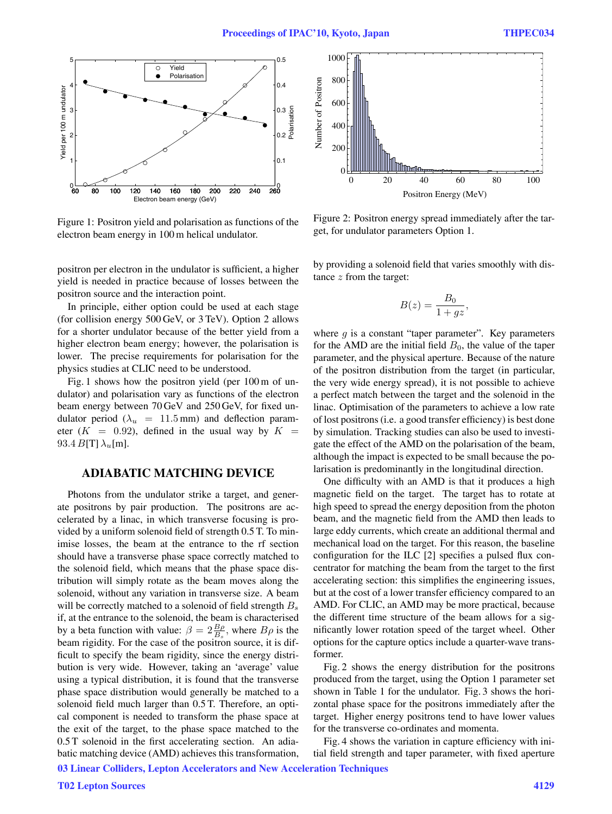

Figure 1: Positron yield and polarisation as functions of the electron beam energy in 100 m helical undulator.

positron per electron in the undulator is sufficient, a higher yield is needed in practice because of losses between the positron source and the interaction point.

In principle, either option could be used at each stage (for collision energy 500 GeV, or 3 TeV). Option 2 allows for a shorter undulator because of the better yield from a higher electron beam energy; however, the polarisation is lower. The precise requirements for polarisation for the physics studies at CLIC need to be understood.

Fig. 1 shows how the positron yield (per 100 m of undulator) and polarisation vary as functions of the electron beam energy between 70 GeV and 250 GeV, for fixed undulator period ( $\lambda_u$  = 11.5 mm) and deflection parameter  $(K = 0.92)$ , defined in the usual way by  $K =$ 93.4  $B[T]$  $\lambda$ <sub>u</sub>[m].

#### **ADIABATIC MATCHING DEVICE**

Photons from the undulator strike a target, and generate positrons by pair production. The positrons are accelerated by a linac, in which transverse focusing is provided by a uniform solenoid field of strength 0.5 T. To minimise losses, the beam at the entrance to the rf section should have a transverse phase space correctly matched to the solenoid field, which means that the phase space distribution will simply rotate as the beam moves along the solenoid, without any variation in transverse size. A beam will be correctly matched to a solenoid of field strength  $B_s$ if, at the entrance to the solenoid, the beam is characterised by a beta function with value:  $\beta = 2\frac{B\rho}{B_s}$ , where  $B\rho$  is the heap rigidity. For the case of the positron source it is difbeam rigidity. For the case of the positron source, it is difficult to specify the beam rigidity, since the energy distribution is very wide. However, taking an 'average' value using a typical distribution, it is found that the transverse phase space distribution would generally be matched to a solenoid field much larger than 0.5 T. Therefore, an optical component is needed to transform the phase space at the exit of the target, to the phase space matched to the 0.5 T solenoid in the first accelerating section. An adiabatic matching device (AMD) achieves this transformation,



Figure 2: Positron energy spread immediately after the target, for undulator parameters Option 1.

by providing a solenoid field that varies smoothly with distance  $z$  from the target:

$$
B(z) = \frac{B_0}{1 + gz},
$$

where  $q$  is a constant "taper parameter". Key parameters for the AMD are the initial field  $B_0$ , the value of the taper parameter, and the physical aperture. Because of the nature of the positron distribution from the target (in particular, the very wide energy spread), it is not possible to achieve a perfect match between the target and the solenoid in the linac. Optimisation of the parameters to achieve a low rate of lost positrons (i.e. a good transfer efficiency) is best done by simulation. Tracking studies can also be used to investigate the effect of the AMD on the polarisation of the beam, although the impact is expected to be small because the polarisation is predominantly in the longitudinal direction.

One difficulty with an AMD is that it produces a high magnetic field on the target. The target has to rotate at high speed to spread the energy deposition from the photon beam, and the magnetic field from the AMD then leads to large eddy currents, which create an additional thermal and mechanical load on the target. For this reason, the baseline configuration for the ILC [2] specifies a pulsed flux concentrator for matching the beam from the target to the first accelerating section: this simplifies the engineering issues, but at the cost of a lower transfer efficiency compared to an AMD. For CLIC, an AMD may be more practical, because the different time structure of the beam allows for a significantly lower rotation speed of the target wheel. Other options for the capture optics include a quarter-wave transformer.

Fig. 2 shows the energy distribution for the positrons produced from the target, using the Option 1 parameter set shown in Table 1 for the undulator. Fig. 3 shows the horizontal phase space for the positrons immediately after the target. Higher energy positrons tend to have lower values for the transverse co-ordinates and momenta.

Fig. 4 shows the variation in capture efficiency with initial field strength and taper parameter, with fixed aperture

03 Linear Colliders, Lepton Accelerators and New Acceleration Techniques